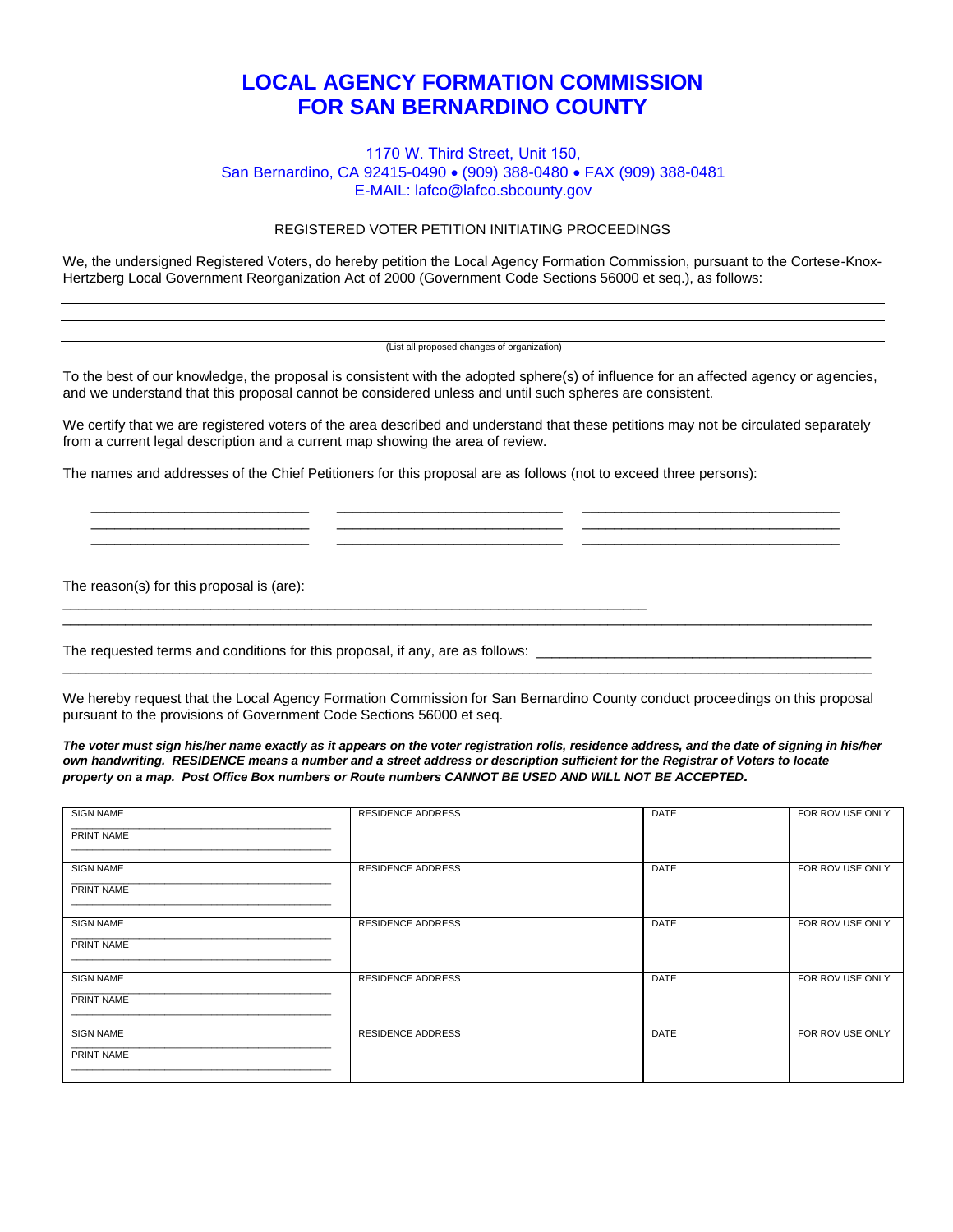## **LOCAL AGENCY FORMATION COMMISSION FOR SAN BERNARDINO COUNTY**

## 1170 W. Third Street, Unit 150, San Bernardino, CA 92415-0490 · (909) 388-0480 · FAX (909) 388-0481 E-MAIL: lafco@lafco.sbcounty.gov

## REGISTERED VOTER PETITION INITIATING PROCEEDINGS

We, the undersigned Registered Voters, do hereby petition the Local Agency Formation Commission, pursuant to the Cortese-Knox-Hertzberg Local Government Reorganization Act of 2000 (Government Code Sections 56000 et seq.), as follows:

(List all proposed changes of organization)

To the best of our knowledge, the proposal is consistent with the adopted sphere(s) of influence for an affected agency or agencies, and we understand that this proposal cannot be considered unless and until such spheres are consistent.

We certify that we are registered voters of the area described and understand that these petitions may not be circulated separately from a current legal description and a current map showing the area of review.

\_\_\_\_\_\_\_\_\_\_\_\_\_\_\_\_\_\_\_\_\_\_\_\_\_\_\_\_ \_\_\_\_\_\_\_\_\_\_\_\_\_\_\_\_\_\_\_\_\_\_\_\_\_\_\_\_\_ \_\_\_\_\_\_\_\_\_\_\_\_\_\_\_\_\_\_\_\_\_\_\_\_\_\_\_\_\_\_\_\_\_ \_\_\_\_\_\_\_\_\_\_\_\_\_\_\_\_\_\_\_\_\_\_\_\_\_\_\_\_ \_\_\_\_\_\_\_\_\_\_\_\_\_\_\_\_\_\_\_\_\_\_\_\_\_\_\_\_\_ \_\_\_\_\_\_\_\_\_\_\_\_\_\_\_\_\_\_\_\_\_\_\_\_\_\_\_\_\_\_\_\_\_ \_\_\_\_\_\_\_\_\_\_\_\_\_\_\_\_\_\_\_\_\_\_\_\_\_\_\_\_ \_\_\_\_\_\_\_\_\_\_\_\_\_\_\_\_\_\_\_\_\_\_\_\_\_\_\_\_\_ \_\_\_\_\_\_\_\_\_\_\_\_\_\_\_\_\_\_\_\_\_\_\_\_\_\_\_\_\_\_\_\_\_

The names and addresses of the Chief Petitioners for this proposal are as follows (not to exceed three persons):

The reason(s) for this proposal is (are):

The requested terms and conditions for this proposal, if any, are as follows: \_\_\_\_\_\_\_\_\_\_\_\_\_\_\_\_\_\_\_\_\_\_\_\_\_\_\_\_\_\_\_\_

\_\_\_\_\_\_\_\_\_\_\_\_\_\_\_\_\_\_\_\_\_\_\_\_\_\_\_\_\_\_\_\_\_\_\_\_\_\_\_\_\_\_\_\_\_\_\_\_\_\_\_\_\_\_\_\_\_\_\_\_\_\_\_\_\_\_\_\_\_\_\_\_\_\_\_

We hereby request that the Local Agency Formation Commission for San Bernardino County conduct proceedings on this proposal pursuant to the provisions of Government Code Sections 56000 et seq.

\_\_\_\_\_\_\_\_\_\_\_\_\_\_\_\_\_\_\_\_\_\_\_\_\_\_\_\_\_\_\_\_\_\_\_\_\_\_\_\_\_\_\_\_\_\_\_\_\_\_\_\_\_\_\_\_\_\_\_\_\_\_\_\_\_\_\_\_\_\_\_\_\_\_\_\_\_\_\_\_\_\_\_\_\_\_\_\_\_\_\_\_\_\_\_\_\_\_\_\_\_\_\_\_

\_\_\_\_\_\_\_\_\_\_\_\_\_\_\_\_\_\_\_\_\_\_\_\_\_\_\_\_\_\_\_\_\_\_\_\_\_\_\_\_\_\_\_\_\_\_\_\_\_\_\_\_\_\_\_\_\_\_\_\_\_\_\_\_\_\_\_\_\_\_\_\_\_\_\_\_\_\_\_\_\_\_\_\_\_\_\_\_\_\_\_\_\_\_\_\_\_\_\_\_\_\_\_\_

*The voter must sign his/her name exactly as it appears on the voter registration rolls, residence address, and the date of signing in his/her own handwriting. RESIDENCE means a number and a street address or description sufficient for the Registrar of Voters to locate property on a map. Post Office Box numbers or Route numbers CANNOT BE USED AND WILL NOT BE ACCEPTED.*

| <b>SIGN NAME</b><br>PRINT NAME | <b>RESIDENCE ADDRESS</b> | DATE | FOR ROV USE ONLY |
|--------------------------------|--------------------------|------|------------------|
| <b>SIGN NAME</b><br>PRINT NAME | <b>RESIDENCE ADDRESS</b> | DATE | FOR ROV USE ONLY |
| <b>SIGN NAME</b><br>PRINT NAME | <b>RESIDENCE ADDRESS</b> | DATE | FOR ROV USE ONLY |
| <b>SIGN NAME</b><br>PRINT NAME | <b>RESIDENCE ADDRESS</b> | DATE | FOR ROV USE ONLY |
| <b>SIGN NAME</b><br>PRINT NAME | <b>RESIDENCE ADDRESS</b> | DATE | FOR ROV USE ONLY |